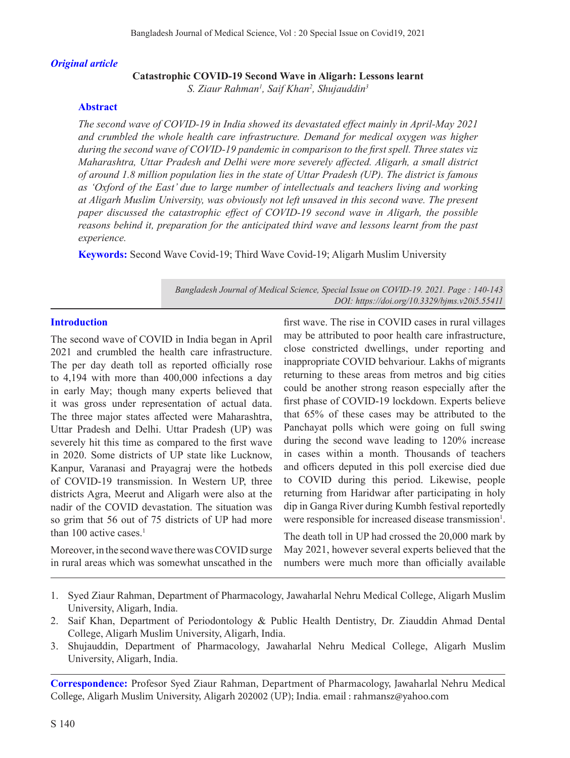#### *Original article*

### **Catastrophic COVID-19 Second Wave in Aligarh: Lessons learnt**

*S. Ziaur Rahman1 , Saif Khan2 , Shujauddin3*

### **Abstract**

*The second wave of COVID-19 in India showed its devastated effect mainly in April-May 2021 and crumbled the whole health care infrastructure. Demand for medical oxygen was higher during the second wave of COVID-19 pandemic in comparison to the first spell. Three states viz Maharashtra, Uttar Pradesh and Delhi were more severely affected. Aligarh, a small district of around 1.8 million population lies in the state of Uttar Pradesh (UP). The district is famous as 'Oxford of the East' due to large number of intellectuals and teachers living and working at Aligarh Muslim University, was obviously not left unsaved in this second wave. The present paper discussed the catastrophic effect of COVID-19 second wave in Aligarh, the possible reasons behind it, preparation for the anticipated third wave and lessons learnt from the past experience.*

**Keywords:** Second Wave Covid-19; Third Wave Covid-19; Aligarh Muslim University

*Bangladesh Journal of Medical Science, Special Issue on COVID-19. 2021. Page : 140-143 DOI: https://doi.org/10.3329/bjms.v20i5.55411* 

## **Introduction**

The second wave of COVID in India began in April 2021 and crumbled the health care infrastructure. The per day death toll as reported officially rose to 4,194 with more than 400,000 infections a day in early May; though many experts believed that it was gross under representation of actual data. The three major states affected were Maharashtra, Uttar Pradesh and Delhi. Uttar Pradesh (UP) was severely hit this time as compared to the first wave in 2020. Some districts of UP state like Lucknow, Kanpur, Varanasi and Prayagraj were the hotbeds of COVID-19 transmission. In Western UP, three districts Agra, Meerut and Aligarh were also at the nadir of the COVID devastation. The situation was so grim that 56 out of 75 districts of UP had more than 100 active cases.<sup>1</sup>

Moreover, in the second wave there was COVID surge in rural areas which was somewhat unscathed in the first wave. The rise in COVID cases in rural villages may be attributed to poor health care infrastructure, close constricted dwellings, under reporting and inappropriate COVID behvariour. Lakhs of migrants returning to these areas from metros and big cities could be another strong reason especially after the first phase of COVID-19 lockdown. Experts believe that 65% of these cases may be attributed to the Panchayat polls which were going on full swing during the second wave leading to 120% increase in cases within a month. Thousands of teachers and officers deputed in this poll exercise died due to COVID during this period. Likewise, people returning from Haridwar after participating in holy dip in Ganga River during Kumbh festival reportedly were responsible for increased disease transmission<sup>1</sup>.

The death toll in UP had crossed the 20,000 mark by May 2021, however several experts believed that the numbers were much more than officially available

- 1. Syed Ziaur Rahman, Department of Pharmacology, Jawaharlal Nehru Medical College, Aligarh Muslim University, Aligarh, India.
- 2. Saif Khan, Department of Periodontology & Public Health Dentistry, Dr. Ziauddin Ahmad Dental College, Aligarh Muslim University, Aligarh, India.
- 3. Shujauddin, Department of Pharmacology, Jawaharlal Nehru Medical College, Aligarh Muslim University, Aligarh, India.

**Correspondence:** Profesor Syed Ziaur Rahman, Department of Pharmacology, Jawaharlal Nehru Medical College, Aligarh Muslim University, Aligarh 202002 (UP); India. email : rahmansz@yahoo.com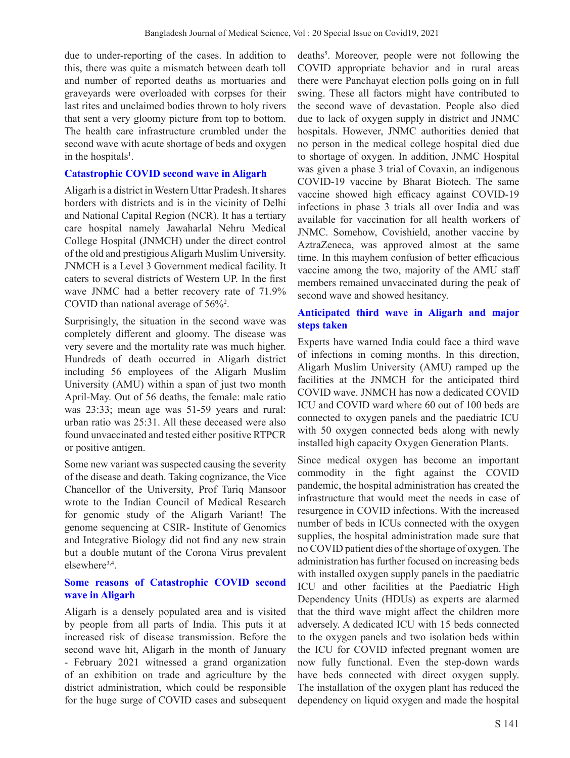due to under-reporting of the cases. In addition to this, there was quite a mismatch between death toll and number of reported deaths as mortuaries and graveyards were overloaded with corpses for their last rites and unclaimed bodies thrown to holy rivers that sent a very gloomy picture from top to bottom. The health care infrastructure crumbled under the second wave with acute shortage of beds and oxygen in the hospitals<sup>1</sup>.

## **Catastrophic COVID second wave in Aligarh**

Aligarh is a district in Western Uttar Pradesh. It shares borders with districts and is in the vicinity of Delhi and National Capital Region (NCR). It has a tertiary care hospital namely Jawaharlal Nehru Medical College Hospital (JNMCH) under the direct control of the old and prestigious Aligarh Muslim University. JNMCH is a Level 3 Government medical facility. It caters to several districts of Western UP. In the first wave JNMC had a better recovery rate of 71.9% COVID than national average of 56%2 .

Surprisingly, the situation in the second wave was completely different and gloomy. The disease was very severe and the mortality rate was much higher. Hundreds of death occurred in Aligarh district including 56 employees of the Aligarh Muslim University (AMU) within a span of just two month April-May. Out of 56 deaths, the female: male ratio was 23:33; mean age was 51-59 years and rural: urban ratio was 25:31. All these deceased were also found unvaccinated and tested either positive RTPCR or positive antigen.

Some new variant was suspected causing the severity of the disease and death. Taking cognizance, the Vice Chancellor of the University, Prof Tariq Mansoor wrote to the Indian Council of Medical Research for genomic study of the Aligarh Variant! The genome sequencing at CSIR- Institute of Genomics and Integrative Biology did not find any new strain but a double mutant of the Corona Virus prevalent elsewhere<sup>3,4</sup>.

# **Some reasons of Catastrophic COVID second wave in Aligarh**

Aligarh is a densely populated area and is visited by people from all parts of India. This puts it at increased risk of disease transmission. Before the second wave hit, Aligarh in the month of January - February 2021 witnessed a grand organization of an exhibition on trade and agriculture by the district administration, which could be responsible for the huge surge of COVID cases and subsequent

deaths<sup>5</sup>. Moreover, people were not following the COVID appropriate behavior and in rural areas there were Panchayat election polls going on in full swing. These all factors might have contributed to the second wave of devastation. People also died due to lack of oxygen supply in district and JNMC hospitals. However, JNMC authorities denied that no person in the medical college hospital died due to shortage of oxygen. In addition, JNMC Hospital was given a phase 3 trial of Covaxin, an indigenous COVID-19 vaccine by Bharat Biotech. The same vaccine showed high efficacy against COVID-19 infections in phase 3 trials all over India and was available for vaccination for all health workers of JNMC. Somehow, Covishield, another vaccine by AztraZeneca, was approved almost at the same time. In this mayhem confusion of better efficacious vaccine among the two, majority of the AMU staff members remained unvaccinated during the peak of second wave and showed hesitancy.

# **Anticipated third wave in Aligarh and major steps taken**

Experts have warned India could face a third wave of infections in coming months. In this direction, Aligarh Muslim University (AMU) ramped up the facilities at the JNMCH for the anticipated third COVID wave. JNMCH has now a dedicated COVID ICU and COVID ward where 60 out of 100 beds are connected to oxygen panels and the paediatric ICU with 50 oxygen connected beds along with newly installed high capacity Oxygen Generation Plants.

Since medical oxygen has become an important commodity in the fight against the COVID pandemic, the hospital administration has created the infrastructure that would meet the needs in case of resurgence in COVID infections. With the increased number of beds in ICUs connected with the oxygen supplies, the hospital administration made sure that no COVID patient dies of the shortage of oxygen. The administration has further focused on increasing beds with installed oxygen supply panels in the paediatric ICU and other facilities at the Paediatric High Dependency Units (HDUs) as experts are alarmed that the third wave might affect the children more adversely. A dedicated ICU with 15 beds connected to the oxygen panels and two isolation beds within the ICU for COVID infected pregnant women are now fully functional. Even the step-down wards have beds connected with direct oxygen supply. The installation of the oxygen plant has reduced the dependency on liquid oxygen and made the hospital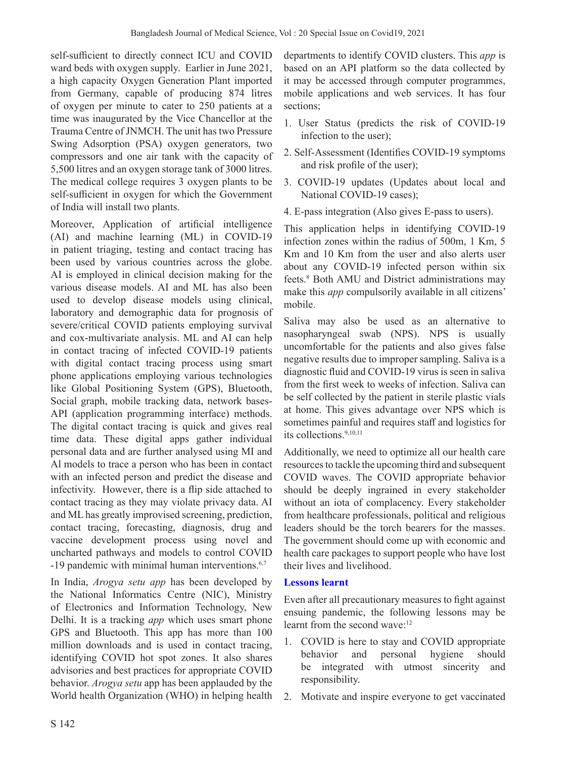self-sufficient to directly connect ICU and COVID ward beds with oxygen supply. Earlier in June 2021, a high capacity Oxygen Generation Plant imported from Germany, capable of producing 874 litres of oxygen per minute to cater to 250 patients at a time was inaugurated by the Vice Chancellor at the Trauma Centre of JNMCH. The unit has two Pressure Swing Adsorption (PSA) oxygen generators, two compressors and one air tank with the capacity of 5,500 litres and an oxygen storage tank of 3000 litres. The medical college requires 3 oxygen plants to be self-sufficient in oxygen for which the Government of India will install two plants.

Moreover, Application of artificial intelligence (AI) and machine learning (ML) in COVID-19 in patient triaging, testing and contact tracing has been used by various countries across the globe. AI is employed in clinical decision making for the various disease models. AI and ML has also been used to develop disease models using clinical, laboratory and demographic data for prognosis of severe/critical COVID patients employing survival and cox-multivariate analysis. ML and AI can help in contact tracing of infected COVID-19 patients with digital contact tracing process using smart phone applications employing various technologies like Global Positioning System (GPS), Bluetooth, Social graph, mobile tracking data, network bases-API (application programming interface) methods. The digital contact tracing is quick and gives real time data. These digital apps gather individual personal data and are further analysed using MI and Al models to trace a person who has been in contact with an infected person and predict the disease and infectivity. However, there is a flip side attached to contact tracing as they may violate privacy data. AI and ML has greatly improvised screening, prediction, contact tracing, forecasting, diagnosis, drug and vaccine development process using novel and uncharted pathways and models to control COVID -19 pandemic with minimal human interventions.<sup>6,7</sup>

In India, *Arogya setu app* has been developed by the National Informatics Centre (NIC), Ministry of Electronics and Information Technology, New Delhi. It is a tracking *app* which uses smart phone GPS and Bluetooth. This app has more than 100 million downloads and is used in contact tracing, identifying COVID hot spot zones. It also shares advisories and best practices for appropriate COVID behavior. *Arogya setu* app has been applauded by the World health Organization (WHO) in helping health

departments to identify COVID clusters. This *app* is based on an API platform so the data collected by it may be accessed through computer programmes, mobile applications and web services. It has four sections;

- 1. User Status (predicts the risk of COVID-19 infection to the user);
- 2. Self-Assessment (Identifies COVID-19 symptoms and risk profile of the user);
- 3. COVID-19 updates (Updates about local and National COVID-19 cases);
- 4. E-pass integration (Also gives E-pass to users).

This application helps in identifying COVID-19 infection zones within the radius of 500m, 1 Km, 5 Km and 10 Km from the user and also alerts user about any COVID-19 infected person within six feets.8 Both AMU and District administrations may make this *app* compulsorily available in all citizens' mobile.

Saliva may also be used as an alternative to nasopharyngeal swab (NPS). NPS is usually uncomfortable for the patients and also gives false negative results due to improper sampling. Saliva is a diagnostic fluid and COVID-19 virus is seen in saliva from the first week to weeks of infection. Saliva can be self collected by the patient in sterile plastic vials at home. This gives advantage over NPS which is sometimes painful and requires staff and logistics for its collections.9,10,11

Additionally, we need to optimize all our health care resources to tackle the upcoming third and subsequent COVID waves. The COVID appropriate behavior should be deeply ingrained in every stakeholder without an iota of complacency. Every stakeholder from healthcare professionals, political and religious leaders should be the torch bearers for the masses. The government should come up with economic and health care packages to support people who have lost their lives and livelihood.

# **Lessons learnt**

Even after all precautionary measures to fight against ensuing pandemic, the following lessons may be learnt from the second wave:<sup>12</sup>

- 1. COVID is here to stay and COVID appropriate behavior and personal hygiene should be integrated with utmost sincerity and responsibility.
- 2. Motivate and inspire everyone to get vaccinated